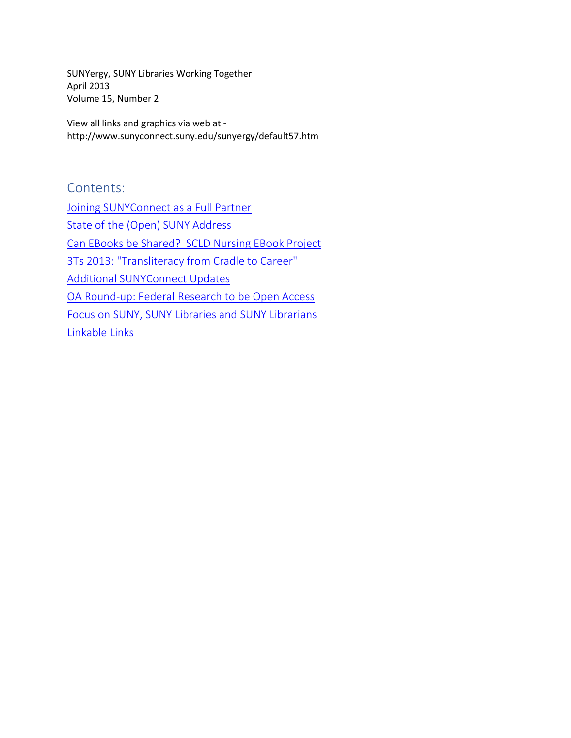SUNYergy, SUNY Libraries Working Together April 2013 Volume 15, Number 2

View all links and graphics via web at http://www.sunyconnect.suny.edu/sunyergy/default57.htm

Contents: [Joining SUNYConnect as a Full Partner](#page-1-0) [State of the \(Open\) SUNY Address](#page-4-0) Can EBooks be Shared? [SCLD Nursing EBook Project](#page-6-0) [3Ts 2013: "Transliteracy from Cradle to Career"](#page-7-0) [Additional SUNYConnect Updates](#page-8-0) [OA Round-up: Federal Research to be Open Access](#page-10-0) [Focus on SUNY, SUNY Libraries and SUNY Librarians](#page-12-0) [Linkable Links](#page-13-0)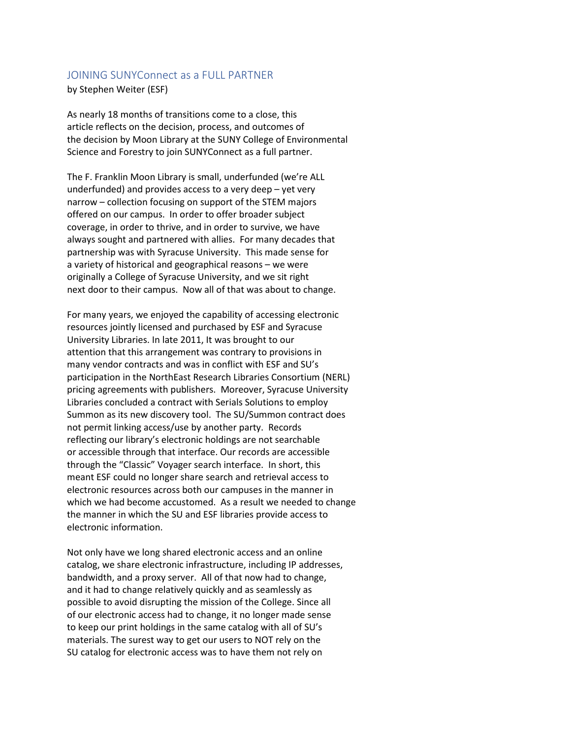# <span id="page-1-0"></span>JOINING SUNYConnect as a FULL PARTNER

#### by Stephen Weiter (ESF)

As nearly 18 months of transitions come to a close, this article reflects on the decision, process, and outcomes of the decision by Moon Library at the SUNY College of Environmental Science and Forestry to join SUNYConnect as a full partner.

The F. Franklin Moon Library is small, underfunded (we're ALL underfunded) and provides access to a very deep – yet very narrow – collection focusing on support of the STEM majors offered on our campus. In order to offer broader subject coverage, in order to thrive, and in order to survive, we have always sought and partnered with allies. For many decades that partnership was with Syracuse University. This made sense for a variety of historical and geographical reasons – we were originally a College of Syracuse University, and we sit right next door to their campus. Now all of that was about to change.

For many years, we enjoyed the capability of accessing electronic resources jointly licensed and purchased by ESF and Syracuse University Libraries. In late 2011, It was brought to our attention that this arrangement was contrary to provisions in many vendor contracts and was in conflict with ESF and SU's participation in the NorthEast Research Libraries Consortium (NERL) pricing agreements with publishers. Moreover, Syracuse University Libraries concluded a contract with Serials Solutions to employ Summon as its new discovery tool. The SU/Summon contract does not permit linking access/use by another party. Records reflecting our library's electronic holdings are not searchable or accessible through that interface. Our records are accessible through the "Classic" Voyager search interface. In short, this meant ESF could no longer share search and retrieval access to electronic resources across both our campuses in the manner in which we had become accustomed. As a result we needed to change the manner in which the SU and ESF libraries provide access to electronic information.

Not only have we long shared electronic access and an online catalog, we share electronic infrastructure, including IP addresses, bandwidth, and a proxy server. All of that now had to change, and it had to change relatively quickly and as seamlessly as possible to avoid disrupting the mission of the College. Since all of our electronic access had to change, it no longer made sense to keep our print holdings in the same catalog with all of SU's materials. The surest way to get our users to NOT rely on the SU catalog for electronic access was to have them not rely on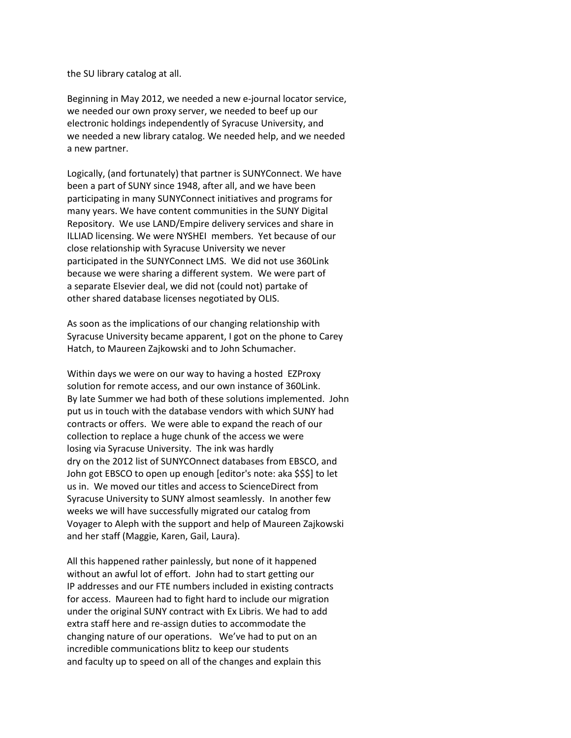the SU library catalog at all.

Beginning in May 2012, we needed a new e-journal locator service, we needed our own proxy server, we needed to beef up our electronic holdings independently of Syracuse University, and we needed a new library catalog. We needed help, and we needed a new partner.

Logically, (and fortunately) that partner is SUNYConnect. We have been a part of SUNY since 1948, after all, and we have been participating in many SUNYConnect initiatives and programs for many years. We have content communities in the SUNY Digital Repository. We use LAND/Empire delivery services and share in ILLIAD licensing. We were NYSHEI members. Yet because of our close relationship with Syracuse University we never participated in the SUNYConnect LMS. We did not use 360Link because we were sharing a different system. We were part of a separate Elsevier deal, we did not (could not) partake of other shared database licenses negotiated by OLIS.

As soon as the implications of our changing relationship with Syracuse University became apparent, I got on the phone to Carey Hatch, to Maureen Zajkowski and to John Schumacher.

Within days we were on our way to having a hosted EZProxy solution for remote access, and our own instance of 360Link. By late Summer we had both of these solutions implemented. John put us in touch with the database vendors with which SUNY had contracts or offers. We were able to expand the reach of our collection to replace a huge chunk of the access we were losing via Syracuse University. The ink was hardly dry on the 2012 list of SUNYCOnnect databases from EBSCO, and John got EBSCO to open up enough [editor's note: aka \$\$\$] to let us in. We moved our titles and access to ScienceDirect from Syracuse University to SUNY almost seamlessly. In another few weeks we will have successfully migrated our catalog from Voyager to Aleph with the support and help of Maureen Zajkowski and her staff (Maggie, Karen, Gail, Laura).

All this happened rather painlessly, but none of it happened without an awful lot of effort. John had to start getting our IP addresses and our FTE numbers included in existing contracts for access. Maureen had to fight hard to include our migration under the original SUNY contract with Ex Libris. We had to add extra staff here and re-assign duties to accommodate the changing nature of our operations. We've had to put on an incredible communications blitz to keep our students and faculty up to speed on all of the changes and explain this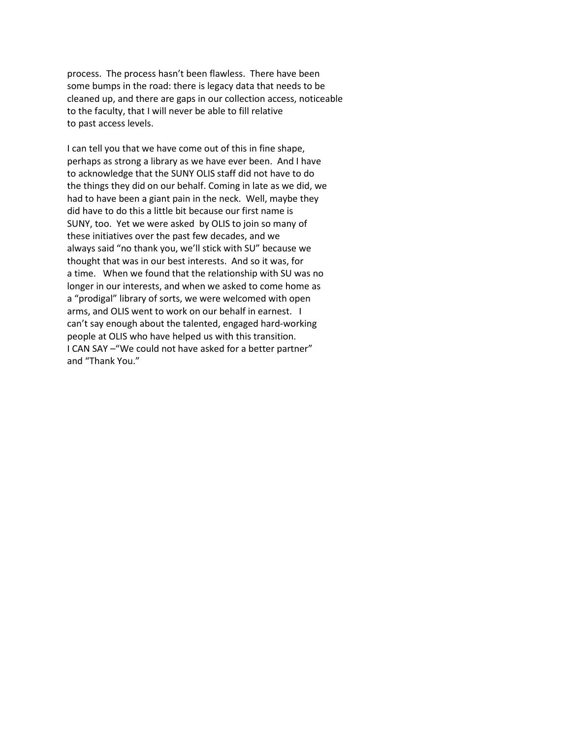process. The process hasn't been flawless. There have been some bumps in the road: there is legacy data that needs to be cleaned up, and there are gaps in our collection access, noticeable to the faculty, that I will never be able to fill relative to past access levels.

I can tell you that we have come out of this in fine shape, perhaps as strong a library as we have ever been. And I have to acknowledge that the SUNY OLIS staff did not have to do the things they did on our behalf. Coming in late as we did, we had to have been a giant pain in the neck. Well, maybe they did have to do this a little bit because our first name is SUNY, too. Yet we were asked by OLIS to join so many of these initiatives over the past few decades, and we always said "no thank you, we'll stick with SU" because we thought that was in our best interests. And so it was, for a time. When we found that the relationship with SU was no longer in our interests, and when we asked to come home as a "prodigal" library of sorts, we were welcomed with open arms, and OLIS went to work on our behalf in earnest. I can't say enough about the talented, engaged hard-working people at OLIS who have helped us with this transition. I CAN SAY –"We could not have asked for a better partner" and "Thank You."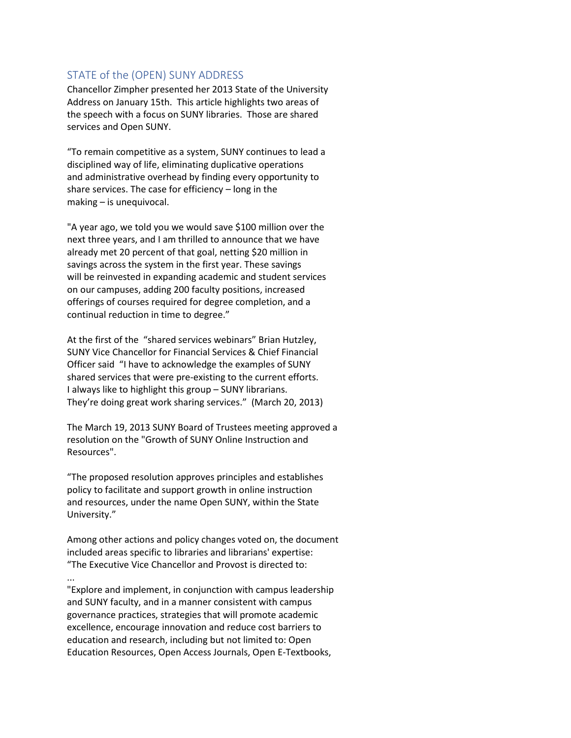# <span id="page-4-0"></span>STATE of the (OPEN) SUNY ADDRESS

Chancellor Zimpher presented her 2013 State of the University Address on January 15th. This article highlights two areas of the speech with a focus on SUNY libraries. Those are shared services and Open SUNY.

"To remain competitive as a system, SUNY continues to lead a disciplined way of life, eliminating duplicative operations and administrative overhead by finding every opportunity to share services. The case for efficiency – long in the making – is unequivocal.

"A year ago, we told you we would save \$100 million over the next three years, and I am thrilled to announce that we have already met 20 percent of that goal, netting \$20 million in savings across the system in the first year. These savings will be reinvested in expanding academic and student services on our campuses, adding 200 faculty positions, increased offerings of courses required for degree completion, and a continual reduction in time to degree."

At the first of the "shared services webinars" Brian Hutzley, SUNY Vice Chancellor for Financial Services & Chief Financial Officer said "I have to acknowledge the examples of SUNY shared services that were pre-existing to the current efforts. I always like to highlight this group – SUNY librarians. They're doing great work sharing services." (March 20, 2013)

The March 19, 2013 SUNY Board of Trustees meeting approved a resolution on the "Growth of SUNY Online Instruction and Resources".

"The proposed resolution approves principles and establishes policy to facilitate and support growth in online instruction and resources, under the name Open SUNY, within the State University."

Among other actions and policy changes voted on, the document included areas specific to libraries and librarians' expertise: "The Executive Vice Chancellor and Provost is directed to:

... "Explore and implement, in conjunction with campus leadership and SUNY faculty, and in a manner consistent with campus governance practices, strategies that will promote academic excellence, encourage innovation and reduce cost barriers to education and research, including but not limited to: Open Education Resources, Open Access Journals, Open E-Textbooks,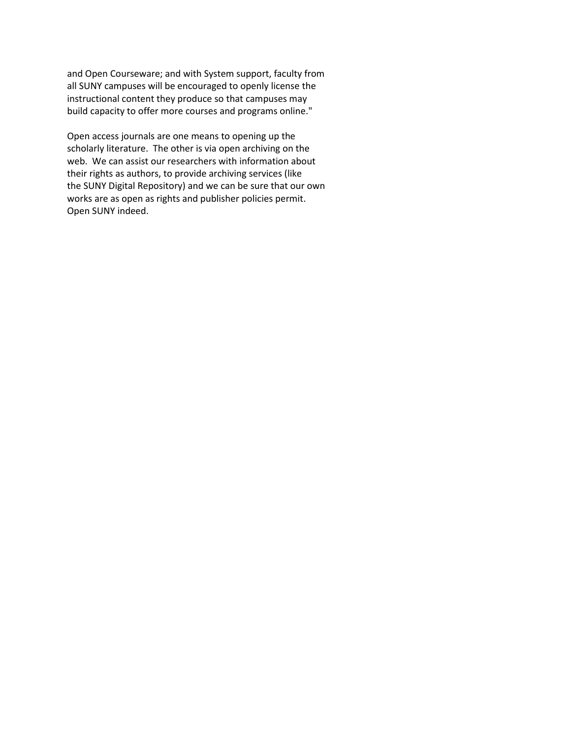and Open Courseware; and with System support, faculty from all SUNY campuses will be encouraged to openly license the instructional content they produce so that campuses may build capacity to offer more courses and programs online."

Open access journals are one means to opening up the scholarly literature. The other is via open archiving on the web. We can assist our researchers with information about their rights as authors, to provide archiving services (like the SUNY Digital Repository) and we can be sure that our own works are as open as rights and publisher policies permit. Open SUNY indeed.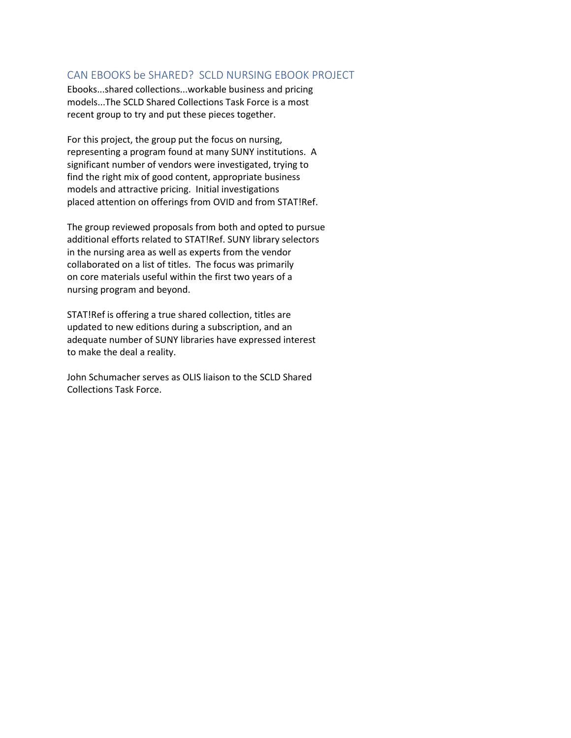## <span id="page-6-0"></span>CAN EBOOKS be SHARED? SCLD NURSING EBOOK PROJECT

Ebooks...shared collections...workable business and pricing models...The SCLD Shared Collections Task Force is a most recent group to try and put these pieces together.

For this project, the group put the focus on nursing, representing a program found at many SUNY institutions. A significant number of vendors were investigated, trying to find the right mix of good content, appropriate business models and attractive pricing. Initial investigations placed attention on offerings from OVID and from STAT!Ref.

The group reviewed proposals from both and opted to pursue additional efforts related to STAT!Ref. SUNY library selectors in the nursing area as well as experts from the vendor collaborated on a list of titles. The focus was primarily on core materials useful within the first two years of a nursing program and beyond.

STAT!Ref is offering a true shared collection, titles are updated to new editions during a subscription, and an adequate number of SUNY libraries have expressed interest to make the deal a reality.

John Schumacher serves as OLIS liaison to the SCLD Shared Collections Task Force.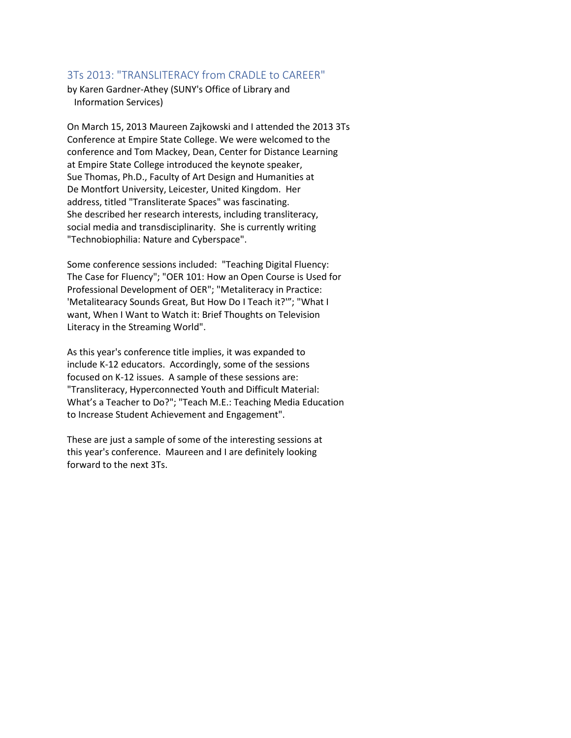#### <span id="page-7-0"></span>3Ts 2013: "TRANSLITERACY from CRADLE to CAREER"

by Karen Gardner-Athey (SUNY's Office of Library and Information Services)

On March 15, 2013 Maureen Zajkowski and I attended the 2013 3Ts Conference at Empire State College. We were welcomed to the conference and Tom Mackey, Dean, Center for Distance Learning at Empire State College introduced the keynote speaker, Sue Thomas, Ph.D., Faculty of Art Design and Humanities at De Montfort University, Leicester, United Kingdom. Her address, titled "Transliterate Spaces" was fascinating. She described her research interests, including transliteracy, social media and transdisciplinarity. She is currently writing "Technobiophilia: Nature and Cyberspace".

Some conference sessions included: "Teaching Digital Fluency: The Case for Fluency"; "OER 101: How an Open Course is Used for Professional Development of OER"; "Metaliteracy in Practice: 'Metalitearacy Sounds Great, But How Do I Teach it?'"; "What I want, When I Want to Watch it: Brief Thoughts on Television Literacy in the Streaming World".

As this year's conference title implies, it was expanded to include K-12 educators. Accordingly, some of the sessions focused on K-12 issues. A sample of these sessions are: "Transliteracy, Hyperconnected Youth and Difficult Material: What's a Teacher to Do?"; "Teach M.E.: Teaching Media Education to Increase Student Achievement and Engagement".

These are just a sample of some of the interesting sessions at this year's conference. Maureen and I are definitely looking forward to the next 3Ts.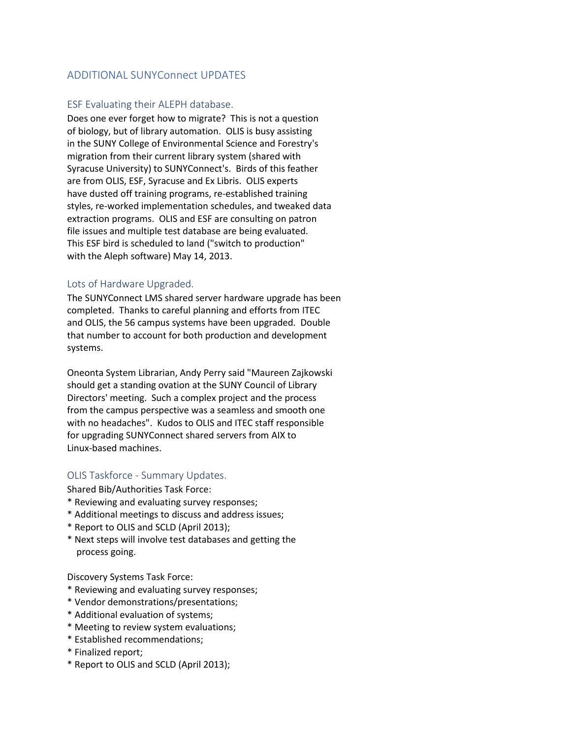# <span id="page-8-0"></span>ADDITIONAL SUNYConnect UPDATES

#### ESF Evaluating their ALEPH database.

Does one ever forget how to migrate? This is not a question of biology, but of library automation. OLIS is busy assisting in the SUNY College of Environmental Science and Forestry's migration from their current library system (shared with Syracuse University) to SUNYConnect's. Birds of this feather are from OLIS, ESF, Syracuse and Ex Libris. OLIS experts have dusted off training programs, re-established training styles, re-worked implementation schedules, and tweaked data extraction programs. OLIS and ESF are consulting on patron file issues and multiple test database are being evaluated. This ESF bird is scheduled to land ("switch to production" with the Aleph software) May 14, 2013.

#### Lots of Hardware Upgraded.

The SUNYConnect LMS shared server hardware upgrade has been completed. Thanks to careful planning and efforts from ITEC and OLIS, the 56 campus systems have been upgraded. Double that number to account for both production and development systems.

Oneonta System Librarian, Andy Perry said "Maureen Zajkowski should get a standing ovation at the SUNY Council of Library Directors' meeting. Such a complex project and the process from the campus perspective was a seamless and smooth one with no headaches". Kudos to OLIS and ITEC staff responsible for upgrading SUNYConnect shared servers from AIX to Linux-based machines.

## OLIS Taskforce - Summary Updates.

Shared Bib/Authorities Task Force:

- \* Reviewing and evaluating survey responses;
- \* Additional meetings to discuss and address issues;
- \* Report to OLIS and SCLD (April 2013);
- \* Next steps will involve test databases and getting the process going.

Discovery Systems Task Force:

- \* Reviewing and evaluating survey responses;
- \* Vendor demonstrations/presentations;
- \* Additional evaluation of systems;
- \* Meeting to review system evaluations;
- \* Established recommendations;
- \* Finalized report;
- \* Report to OLIS and SCLD (April 2013);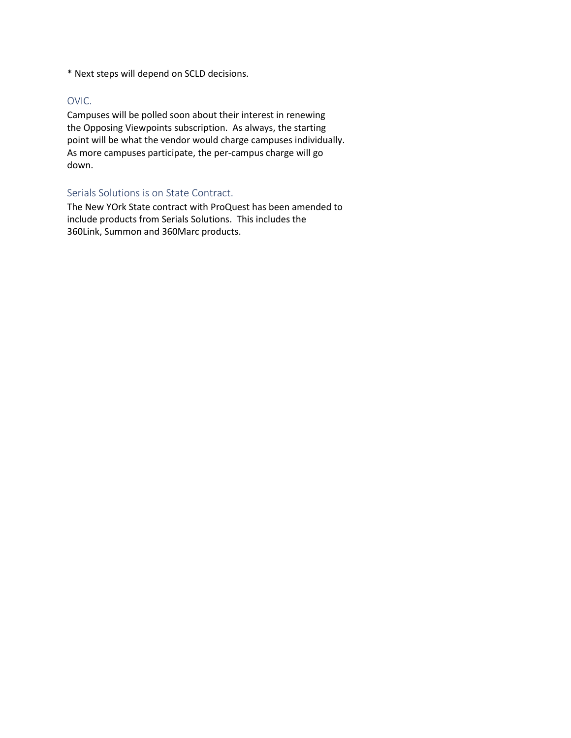\* Next steps will depend on SCLD decisions.

#### OVIC.

Campuses will be polled soon about their interest in renewing the Opposing Viewpoints subscription. As always, the starting point will be what the vendor would charge campuses individually. As more campuses participate, the per-campus charge will go down.

## Serials Solutions is on State Contract.

The New YOrk State contract with ProQuest has been amended to include products from Serials Solutions. This includes the 360Link, Summon and 360Marc products.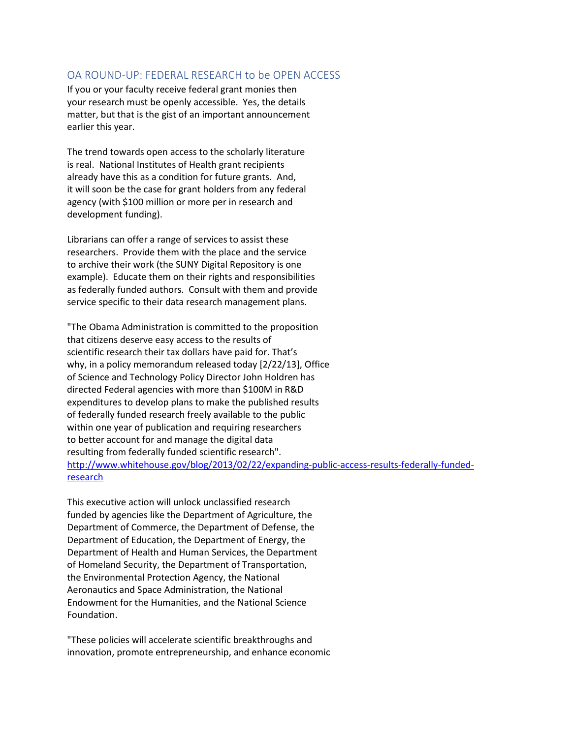## <span id="page-10-0"></span>OA ROUND-UP: FEDERAL RESEARCH to be OPEN ACCESS

If you or your faculty receive federal grant monies then your research must be openly accessible. Yes, the details matter, but that is the gist of an important announcement earlier this year.

The trend towards open access to the scholarly literature is real. National Institutes of Health grant recipients already have this as a condition for future grants. And, it will soon be the case for grant holders from any federal agency (with \$100 million or more per in research and development funding).

Librarians can offer a range of services to assist these researchers. Provide them with the place and the service to archive their work (the SUNY Digital Repository is one example). Educate them on their rights and responsibilities as federally funded authors. Consult with them and provide service specific to their data research management plans.

"The Obama Administration is committed to the proposition that citizens deserve easy access to the results of scientific research their tax dollars have paid for. That's why, in a policy memorandum released today [2/22/13], Office of Science and Technology Policy Director John Holdren has directed Federal agencies with more than \$100M in R&D expenditures to develop plans to make the published results of federally funded research freely available to the public within one year of publication and requiring researchers to better account for and manage the digital data resulting from federally funded scientific research". [http://www.whitehouse.gov/blog/2013/02/22/expanding-public-access-results-federally-funded](http://www.whitehouse.gov/blog/2013/02/22/expanding-public-access-results-federally-funded-research)[research](http://www.whitehouse.gov/blog/2013/02/22/expanding-public-access-results-federally-funded-research)

This executive action will unlock unclassified research funded by agencies like the Department of Agriculture, the Department of Commerce, the Department of Defense, the Department of Education, the Department of Energy, the Department of Health and Human Services, the Department of Homeland Security, the Department of Transportation, the Environmental Protection Agency, the National Aeronautics and Space Administration, the National Endowment for the Humanities, and the National Science Foundation.

"These policies will accelerate scientific breakthroughs and innovation, promote entrepreneurship, and enhance economic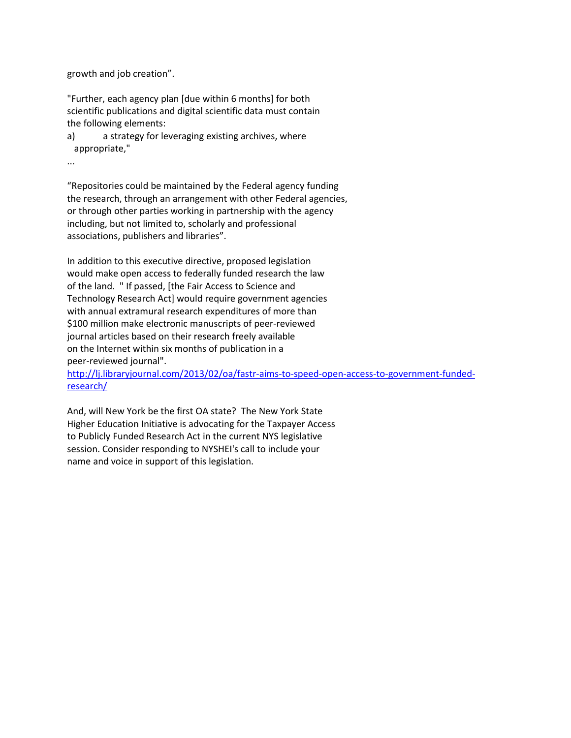growth and job creation".

"Further, each agency plan [due within 6 months] for both scientific publications and digital scientific data must contain the following elements:

a) a strategy for leveraging existing archives, where appropriate,"

...

"Repositories could be maintained by the Federal agency funding the research, through an arrangement with other Federal agencies, or through other parties working in partnership with the agency including, but not limited to, scholarly and professional associations, publishers and libraries".

In addition to this executive directive, proposed legislation would make open access to federally funded research the law of the land. " If passed, [the Fair Access to Science and Technology Research Act] would require government agencies with annual extramural research expenditures of more than \$100 million make electronic manuscripts of peer-reviewed journal articles based on their research freely available on the Internet within six months of publication in a peer-reviewed journal".

[http://lj.libraryjournal.com/2013/02/oa/fastr-aims-to-speed-open-access-to-government-funded](http://lj.libraryjournal.com/2013/02/oa/fastr-aims-to-speed-open-access-to-government-funded-research/)[research/](http://lj.libraryjournal.com/2013/02/oa/fastr-aims-to-speed-open-access-to-government-funded-research/)

And, will New York be the first OA state? The New York State Higher Education Initiative is advocating for the Taxpayer Access to Publicly Funded Research Act in the current NYS legislative session. Consider responding to NYSHEI's call to include your name and voice in support of this legislation.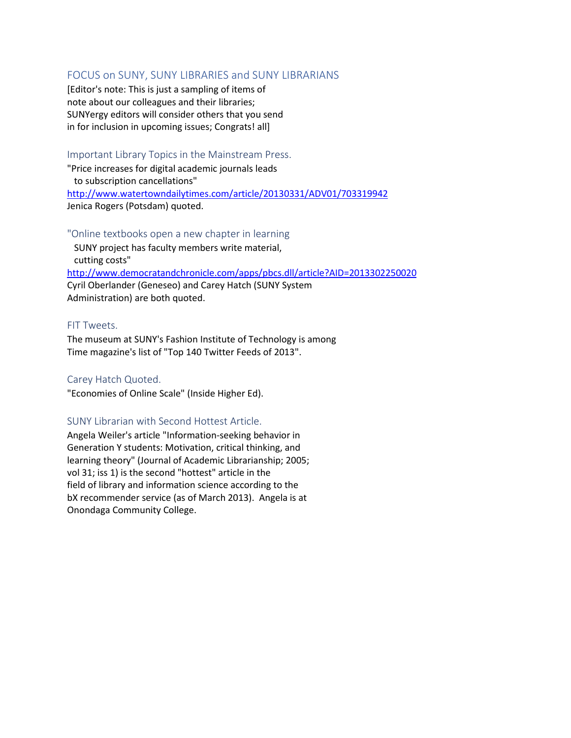## <span id="page-12-0"></span>FOCUS on SUNY, SUNY LIBRARIES and SUNY LIBRARIANS

[Editor's note: This is just a sampling of items of note about our colleagues and their libraries; SUNYergy editors will consider others that you send in for inclusion in upcoming issues; Congrats! all]

Important Library Topics in the Mainstream Press.

"Price increases for digital academic journals leads to subscription cancellations" <http://www.watertowndailytimes.com/article/20130331/ADV01/703319942> Jenica Rogers (Potsdam) quoted.

"Online textbooks open a new chapter in learning SUNY project has faculty members write material, cutting costs" <http://www.democratandchronicle.com/apps/pbcs.dll/article?AID=2013302250020> Cyril Oberlander (Geneseo) and Carey Hatch (SUNY System Administration) are both quoted.

## FIT Tweets.

The museum at SUNY's Fashion Institute of Technology is among Time magazine's list of "Top 140 Twitter Feeds of 2013".

## Carey Hatch Quoted.

"Economies of Online Scale" (Inside Higher Ed).

#### SUNY Librarian with Second Hottest Article.

Angela Weiler's article "Information-seeking behavior in Generation Y students: Motivation, critical thinking, and learning theory" (Journal of Academic Librarianship; 2005; vol 31; iss 1) is the second "hottest" article in the field of library and information science according to the bX recommender service (as of March 2013). Angela is at Onondaga Community College.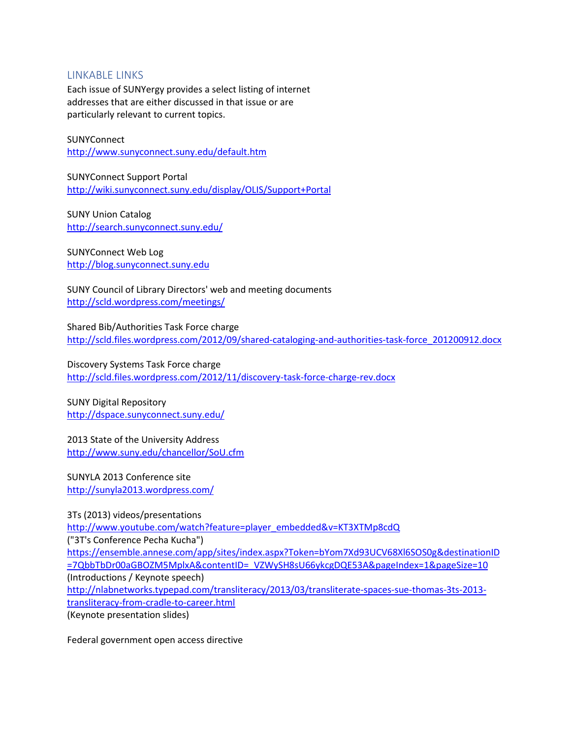## <span id="page-13-0"></span>LINKABLE LINKS

Each issue of SUNYergy provides a select listing of internet addresses that are either discussed in that issue or are particularly relevant to current topics.

#### **SUNYConnect** <http://www.sunyconnect.suny.edu/default.htm>

SUNYConnect Support Portal <http://wiki.sunyconnect.suny.edu/display/OLIS/Support+Portal>

SUNY Union Catalog <http://search.sunyconnect.suny.edu/>

SUNYConnect Web Log [http://blog.sunyconnect.suny.edu](http://blog.sunyconnect.suny.edu/)

SUNY Council of Library Directors' web and meeting documents <http://scld.wordpress.com/meetings/>

Shared Bib/Authorities Task Force charge [http://scld.files.wordpress.com/2012/09/shared-cataloging-and-authorities-task-force\\_201200912.docx](http://scld.files.wordpress.com/2012/09/shared-cataloging-and-authorities-task-force_201200912.docx)

Discovery Systems Task Force charge <http://scld.files.wordpress.com/2012/11/discovery-task-force-charge-rev.docx>

SUNY Digital Repository <http://dspace.sunyconnect.suny.edu/>

2013 State of the University Address <http://www.suny.edu/chancellor/SoU.cfm>

SUNYLA 2013 Conference site <http://sunyla2013.wordpress.com/>

3Ts (2013) videos/presentations [http://www.youtube.com/watch?feature=player\\_embedded&v=KT3XTMp8cdQ](http://www.youtube.com/watch?feature=player_embedded&v=KT3XTMp8cdQ) ("3T's Conference Pecha Kucha") [https://ensemble.annese.com/app/sites/index.aspx?Token=bYom7Xd93UCV68Xl6SOS0g&destinationID](https://ensemble.annese.com/app/sites/index.aspx?Token=bYom7Xd93UCV68Xl6SOS0g&destinationID=7QbbTbDr00aGBOZM5MplxA&contentID=_VZWySH8sU66ykcgDQE53A&pageIndex=1&pageSize=10) [=7QbbTbDr00aGBOZM5MplxA&contentID=\\_VZWySH8sU66ykcgDQE53A&pageIndex=1&pageSize=10](https://ensemble.annese.com/app/sites/index.aspx?Token=bYom7Xd93UCV68Xl6SOS0g&destinationID=7QbbTbDr00aGBOZM5MplxA&contentID=_VZWySH8sU66ykcgDQE53A&pageIndex=1&pageSize=10) (Introductions / Keynote speech) [http://nlabnetworks.typepad.com/transliteracy/2013/03/transliterate-spaces-sue-thomas-3ts-2013](http://nlabnetworks.typepad.com/transliteracy/2013/03/transliterate-spaces-sue-thomas-3ts-2013-transliteracy-from-cradle-to-career.html) [transliteracy-from-cradle-to-career.html](http://nlabnetworks.typepad.com/transliteracy/2013/03/transliterate-spaces-sue-thomas-3ts-2013-transliteracy-from-cradle-to-career.html) (Keynote presentation slides)

Federal government open access directive